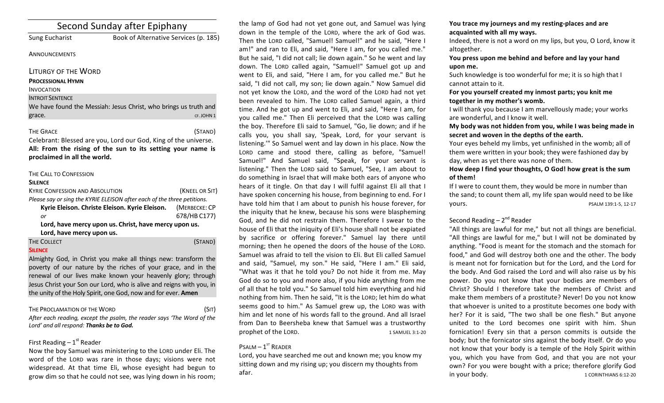| Second Sunday after Epiphany |                                                                  |
|------------------------------|------------------------------------------------------------------|
| <b>Sung Eucharist</b>        | Book of Alternative Services (p. 185)                            |
| <b>ANNOUNCEMENTS</b>         |                                                                  |
| LITURGY OF THE WORD          |                                                                  |
| <b>PROCESSIONAL HYMN</b>     |                                                                  |
| <b>INVOCATION</b>            |                                                                  |
| <b>INTROIT SENTENCE</b>      |                                                                  |
|                              | We have found the Messiah: Jesus Christ, who brings us truth and |
| grace.                       | CF. JOHN 1                                                       |
| <b>THE GRACE</b>             | (STAND)                                                          |
|                              | Celebrant: Blessed are you. Lord our God. King of the universe.  |

Celebrant: Blessed are you, Lord our God, King of the universe. All: From the rising of the sun to its setting your name is proclaimed in all the world.

## THE CALL TO CONFESSION

#### **SILENCE**

| <b>KYRIE CONFESSION AND ABSOLUTION</b>                                  | (KNEEL OR SIT) |  |
|-------------------------------------------------------------------------|----------------|--|
| Please say or sing the KYRIE ELEISON after each of the three petitions. |                |  |
| Kyrie Eleison. Christe Eleison. Kyrie Eleison. (MERBECKE: CP            |                |  |
| or                                                                      | 678/HB C177)   |  |
| Lord, have mercy upon us. Christ, have mercy upon us.                   |                |  |
| Lord, have mercy upon us.                                               |                |  |
| <b>THE COLLECT</b>                                                      | (STAND)        |  |

## **SILENCE**

Almighty God, in Christ you make all things new: transform the poverty of our nature by the riches of your grace, and in the renewal of our lives make known your heavenly glory; through Jesus Christ your Son our Lord, who is alive and reigns with you, in the unity of the Holy Spirit, one God, now and for ever. **Amen** 

## THE PROCLAMATION OF THE WORD (SIT)

After each reading, except the psalm, the reader says 'The Word of the Lord' and all respond: Thanks be to God.

# First Reading  $-1<sup>st</sup>$  Reader

Now the boy Samuel was ministering to the LORD under Eli. The word of the LORD was rare in those days; visions were not widespread. At that time Eli, whose eyesight had begun to grow dim so that he could not see, was lying down in his room;

the lamp of God had not yet gone out, and Samuel was lying down in the temple of the LORD, where the ark of God was. Then the LORD called, "Samuel! Samuel!" and he said, "Here I am!" and ran to Eli, and said, "Here I am, for you called me." But he said, "I did not call; lie down again." So he went and lay down. The LORD called again, "Samuel!" Samuel got up and went to Eli, and said, "Here I am, for you called me." But he said, "I did not call, my son; lie down again." Now Samuel did not yet know the LORD, and the word of the LORD had not yet been revealed to him. The LORD called Samuel again, a third time. And he got up and went to Eli, and said, "Here I am, for you called me." Then Eli perceived that the LORD was calling the boy. Therefore Eli said to Samuel, "Go, lie down; and if he calls you, you shall say, 'Speak, Lord, for your servant is listening."" So Samuel went and lay down in his place. Now the LORD came and stood there, calling as before, "Samuel! Samuel!" And Samuel said, "Speak, for your servant is listening." Then the LORD said to Samuel, "See, I am about to do something in Israel that will make both ears of anyone who hears of it tingle. On that day I will fulfil against Eli all that I have spoken concerning his house, from beginning to end. For I have told him that I am about to punish his house forever, for the iniquity that he knew, because his sons were blaspheming God, and he did not restrain them. Therefore I swear to the house of Eli that the iniquity of Eli's house shall not be expiated by sacrifice or offering forever." Samuel lay there until morning; then he opened the doors of the house of the LORD. Samuel was afraid to tell the vision to Eli. But Eli called Samuel and said, "Samuel, my son." He said, "Here I am." Eli said, "What was it that he told you? Do not hide it from me. May God do so to you and more also, if you hide anything from me of all that he told you." So Samuel told him everything and hid nothing from him. Then he said, "It is the LORD; let him do what seems good to him." As Samuel grew up, the LORD was with him and let none of his words fall to the ground. And all Israel from Dan to Beersheba knew that Samuel was a trustworthy prophet of the LORD. 1 SAMUEL 3:1-20

# $P$ SALM  $-1$ <sup>ST</sup> READER

Lord, you have searched me out and known me; you know my sitting down and my rising up; you discern my thoughts from afar. 

## You trace my journeys and my resting-places and are acquainted with all my ways.

Indeed, there is not a word on my lips, but you, O Lord, know it altogether. 

# You press upon me behind and before and lay your hand **upon me.**

Such knowledge is too wonderful for me; it is so high that I cannot attain to it.

## For you yourself created my inmost parts; you knit me together in my mother's womb.

I will thank you because I am marvellously made; your works are wonderful, and I know it well.

My body was not hidden from you, while I was being made in secret and woven in the depths of the earth.

Your eyes beheld my limbs, yet unfinished in the womb; all of them were written in your book; they were fashioned day by day, when as yet there was none of them.

# How deep I find your thoughts, O God! how great is the sum of them!

If I were to count them, they would be more in number than the sand; to count them all, my life span would need to be like **yours.** PSALM 139:1-5, 12-17

# Second Reading  $- 2<sup>nd</sup>$  Reader

"All things are lawful for me," but not all things are beneficial. "All things are lawful for me," but I will not be dominated by anything. "Food is meant for the stomach and the stomach for food," and God will destroy both one and the other. The body is meant not for fornication but for the Lord, and the Lord for the body. And God raised the Lord and will also raise us by his power. Do you not know that your bodies are members of Christ? Should I therefore take the members of Christ and make them members of a prostitute? Never! Do you not know that whoever is united to a prostitute becomes one body with her? For it is said, "The two shall be one flesh." But anyone united to the Lord becomes one spirit with him. Shun fornication! Every sin that a person commits is outside the body; but the fornicator sins against the body itself. Or do you not know that your body is a temple of the Holy Spirit within you, which you have from God, and that you are not your own? For you were bought with a price; therefore glorify God in your body. The state of the state of the state of the state of the state of the state of the state of the state of the state of the state of the state of the state of the state of the state of the state of the state of